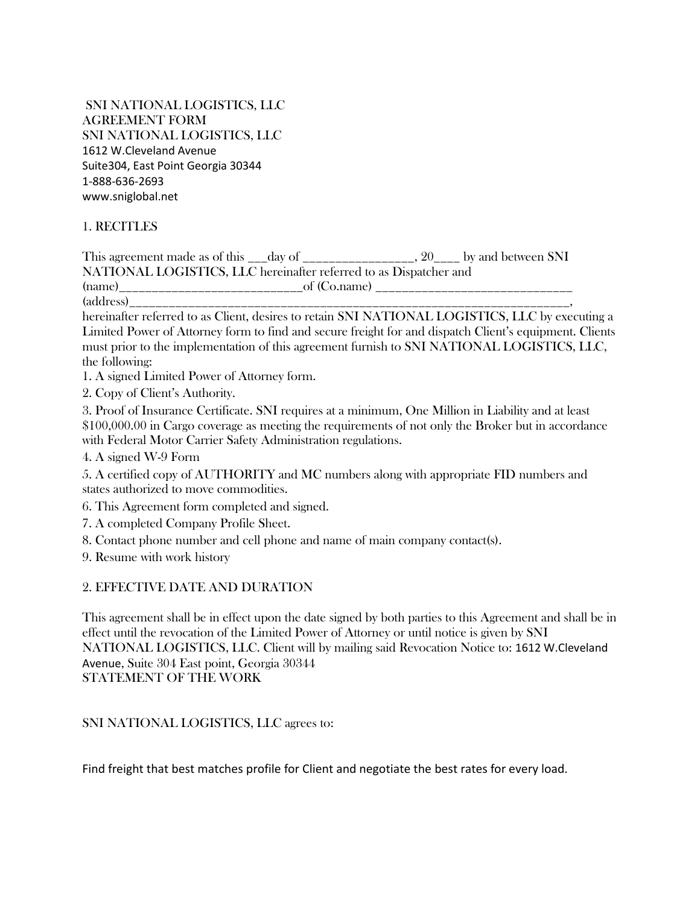SNI NATIONAL LOGISTICS, LLC AGREEMENT FORM SNI NATIONAL LOGISTICS, LLC 1612 W.Cleveland Avenue Suite304, East Point Georgia 30344 1-888-636-2693 www.sniglobal.net

# 1. RECITLES

This agreement made as of this \_\_\_day of \_\_\_\_\_\_\_\_\_\_\_\_\_\_\_\_, 20\_\_\_\_ by and between SNI NATIONAL LOGISTICS, LLC hereinafter referred to as Dispatcher and

(name)\_\_\_\_\_\_\_\_\_\_\_\_\_\_\_\_\_\_\_\_\_\_\_\_\_\_\_\_of (Co.name) \_\_\_\_\_\_\_\_\_\_\_\_\_\_\_\_\_\_\_\_\_\_\_\_\_\_\_\_\_\_

(address)\_\_\_\_\_\_\_\_\_\_\_\_\_\_\_\_\_\_\_\_\_\_\_\_\_\_\_\_\_\_\_\_\_\_\_\_\_\_\_\_\_\_\_\_\_\_\_\_\_\_\_\_\_\_\_\_\_\_\_\_\_\_\_\_\_\_\_,

hereinafter referred to as Client, desires to retain SNI NATIONAL LOGISTICS, LLC by executing a Limited Power of Attorney form to find and secure freight for and dispatch Client's equipment. Clients must prior to the implementation of this agreement furnish to SNI NATIONAL LOGISTICS, LLC, the following:

1. A signed Limited Power of Attorney form.

2. Copy of Client's Authority.

3. Proof of Insurance Certificate. SNI requires at a minimum, One Million in Liability and at least \$100,000.00 in Cargo coverage as meeting the requirements of not only the Broker but in accordance with Federal Motor Carrier Safety Administration regulations.

4. A signed W-9 Form

5. A certified copy of AUTHORITY and MC numbers along with appropriate FID numbers and states authorized to move commodities.

6. This Agreement form completed and signed.

7. A completed Company Profile Sheet.

8. Contact phone number and cell phone and name of main company contact(s).

9. Resume with work history

## 2. EFFECTIVE DATE AND DURATION

This agreement shall be in effect upon the date signed by both parties to this Agreement and shall be in effect until the revocation of the Limited Power of Attorney or until notice is given by SNI NATIONAL LOGISTICS, LLC. Client will by mailing said Revocation Notice to: 1612 W.Cleveland Avenue, Suite 304 East point, Georgia 30344 STATEMENT OF THE WORK

SNI NATIONAL LOGISTICS, LLC agrees to:

Find freight that best matches profile for Client and negotiate the best rates for every load.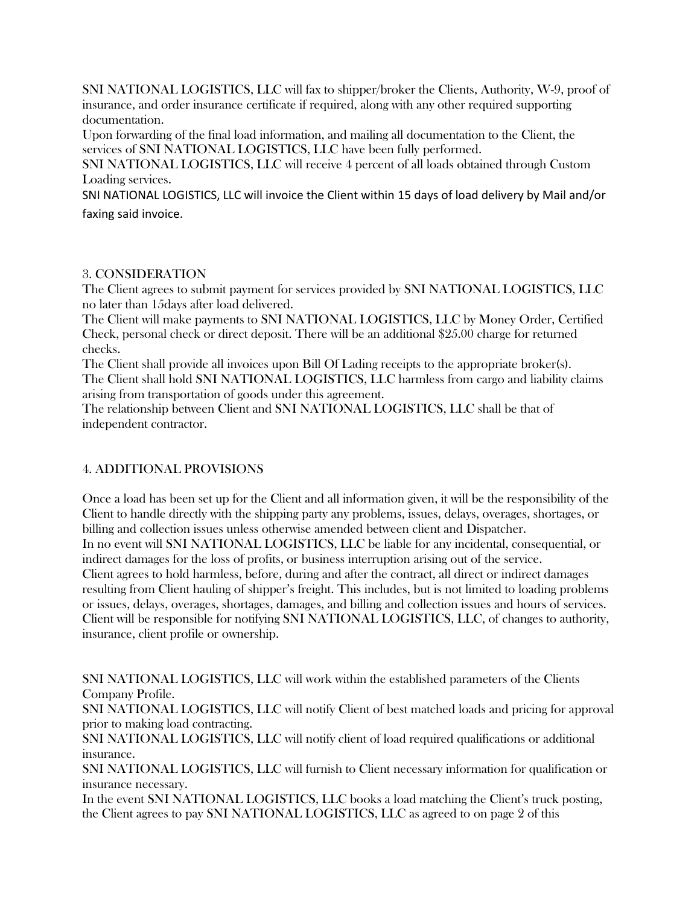SNI NATIONAL LOGISTICS, LLC will fax to shipper/broker the Clients, Authority, W-9, proof of insurance, and order insurance certificate if required, along with any other required supporting documentation.

Upon forwarding of the final load information, and mailing all documentation to the Client, the services of SNI NATIONAL LOGISTICS, LLC have been fully performed.

SNI NATIONAL LOGISTICS, LLC will receive 4 percent of all loads obtained through Custom Loading services.

SNI NATIONAL LOGISTICS, LLC will invoice the Client within 15 days of load delivery by Mail and/or faxing said invoice.

## 3. CONSIDERATION

The Client agrees to submit payment for services provided by SNI NATIONAL LOGISTICS, LLC no later than 15days after load delivered.

The Client will make payments to SNI NATIONAL LOGISTICS, LLC by Money Order, Certified Check, personal check or direct deposit. There will be an additional \$25.00 charge for returned checks.

The Client shall provide all invoices upon Bill Of Lading receipts to the appropriate broker(s). The Client shall hold SNI NATIONAL LOGISTICS, LLC harmless from cargo and liability claims arising from transportation of goods under this agreement.

The relationship between Client and SNI NATIONAL LOGISTICS, LLC shall be that of independent contractor.

## 4. ADDITIONAL PROVISIONS

Once a load has been set up for the Client and all information given, it will be the responsibility of the Client to handle directly with the shipping party any problems, issues, delays, overages, shortages, or billing and collection issues unless otherwise amended between client and Dispatcher. In no event will SNI NATIONAL LOGISTICS, LLC be liable for any incidental, consequential, or indirect damages for the loss of profits, or business interruption arising out of the service. Client agrees to hold harmless, before, during and after the contract, all direct or indirect damages resulting from Client hauling of shipper's freight. This includes, but is not limited to loading problems or issues, delays, overages, shortages, damages, and billing and collection issues and hours of services. Client will be responsible for notifying SNI NATIONAL LOGISTICS, LLC, of changes to authority, insurance, client profile or ownership.

SNI NATIONAL LOGISTICS, LLC will work within the established parameters of the Clients Company Profile.

SNI NATIONAL LOGISTICS, LLC will notify Client of best matched loads and pricing for approval prior to making load contracting.

SNI NATIONAL LOGISTICS, LLC will notify client of load required qualifications or additional insurance.

SNI NATIONAL LOGISTICS, LLC will furnish to Client necessary information for qualification or insurance necessary.

In the event SNI NATIONAL LOGISTICS, LLC books a load matching the Client's truck posting, the Client agrees to pay SNI NATIONAL LOGISTICS, LLC as agreed to on page 2 of this